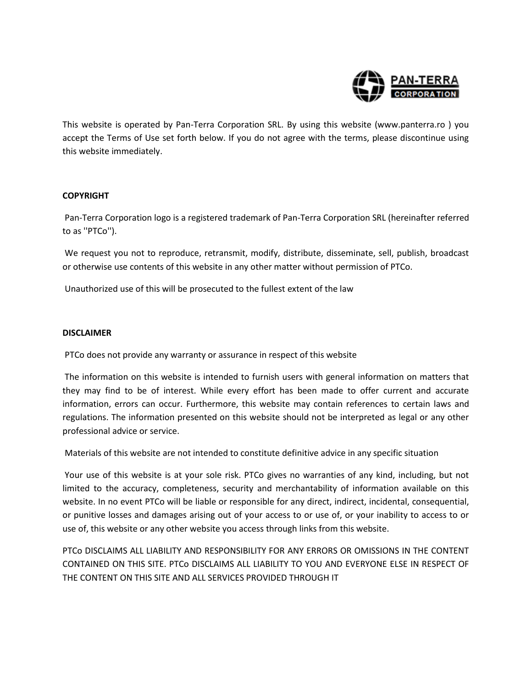

This website is operated by Pan-Terra Corporation SRL. By using this website (www.panterra.ro ) you accept the Terms of Use set forth below. If you do not agree with the terms, please discontinue using this website immediately.

# **COPYRIGHT**

Pan-Terra Corporation logo is a registered trademark of Pan-Terra Corporation SRL (hereinafter referred to as ''PTCo'').

We request you not to reproduce, retransmit, modify, distribute, disseminate, sell, publish, broadcast or otherwise use contents of this website in any other matter without permission of PTCo.

Unauthorized use of this will be prosecuted to the fullest extent of the law

## **DISCLAIMER**

PTCo does not provide any warranty or assurance in respect of this website

The information on this website is intended to furnish users with general information on matters that they may find to be of interest. While every effort has been made to offer current and accurate information, errors can occur. Furthermore, this website may contain references to certain laws and regulations. The information presented on this website should not be interpreted as legal or any other professional advice or service.

Materials of this website are not intended to constitute definitive advice in any specific situation

Your use of this website is at your sole risk. PTCo gives no warranties of any kind, including, but not limited to the accuracy, completeness, security and merchantability of information available on this website. In no event PTCo will be liable or responsible for any direct, indirect, incidental, consequential, or punitive losses and damages arising out of your access to or use of, or your inability to access to or use of, this website or any other website you access through links from this website.

PTCo DISCLAIMS ALL LIABILITY AND RESPONSIBILITY FOR ANY ERRORS OR OMISSIONS IN THE CONTENT CONTAINED ON THIS SITE. PTCo DISCLAIMS ALL LIABILITY TO YOU AND EVERYONE ELSE IN RESPECT OF THE CONTENT ON THIS SITE AND ALL SERVICES PROVIDED THROUGH IT